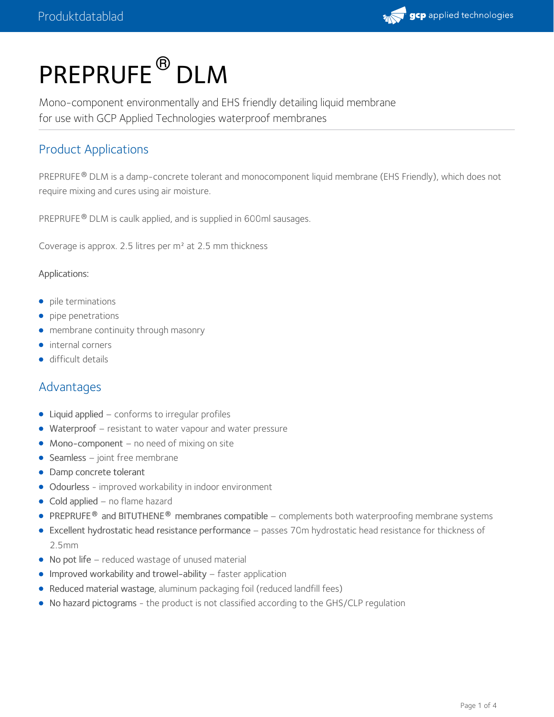

# PREPRUFE<sup>®</sup> DLM

Mono-component environmentally and EHS friendly detailing liquid membrane for use with GCP Applied Technologies waterproof membranes

## Product Applications

PREPRUFE® DLM is a damp-concrete tolerant and monocomponent liquid membrane (EHS Friendly), which does not require mixing and cures using air moisture.

PREPRUFE® DLM is caulk applied, and is supplied in 600ml sausages.

Coverage is approx. 2.5 litres per m² at 2.5 mm thickness

#### Applications:

- pile terminations
- pipe penetrations
- membrane continuity through masonry
- internal corners
- **difficult details**

## Advantages

- Liquid applied conforms to irregular profiles
- Waterproof resistant to water vapour and water pressure
- Mono-component no need of mixing on site
- $\bullet$  Seamless joint free membrane
- Damp concrete tolerant
- Odourless improved workability in indoor environment
- Cold applied no flame hazard
- **PREPRUFE ® and BITUTHENE ® membranes compatible complements both waterproofing membrane systems**
- Excellent hydrostatic head resistance performance passes 70m hydrostatic head resistance for thickness of 2.5mm
- No pot life reduced wastage of unused material
- Improved workability and trowel-ability faster application
- Reduced material wastage, aluminum packaging foil (reduced landfill fees)
- No hazard pictograms the product is not classified according to the GHS/CLP regulation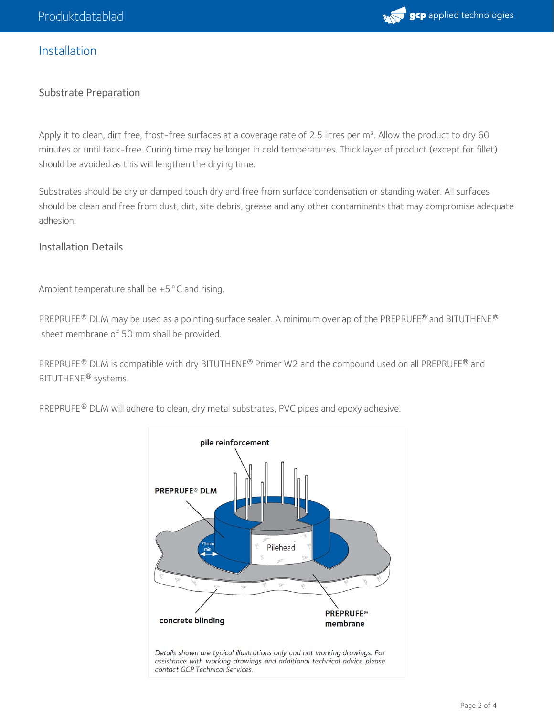

## Installation

#### Substrate Preparation

Apply it to clean, dirt free, frost-free surfaces at a coverage rate of 2.5 litres per m<sup>2</sup>. Allow the product to dry 60 minutes or until tack-free. Curing time may be longer in cold temperatures. Thick layer of product (except for fillet) should be avoided as this will lengthen the drying time.

Substrates should be dry or damped touch dry and free from surface condensation or standing water. All surfaces should be clean and free from dust, dirt, site debris, grease and any other contaminants that may compromise adequate adhesion.

#### Installation Details

Ambient temperature shall be +5°C and rising.

<code>PREPRUFE®</code> DLM may be used as a pointing surface sealer. A minimum overlap of the <code>PREPRUFE®</code> and <code>BITUTHENE®</code> sheet membrane of 50 mm shall be provided.

PREPRUFE  $^\circledR$  DLM is compatible with dry BITUTHENE  $^\circledR$  Primer W2 and the compound used on all PREPRUFE  $^\circledR$  and BITUTHENE® systems.

PREPRUFE® DLM will adhere to clean, dry metal substrates, PVC pipes and epoxy adhesive.

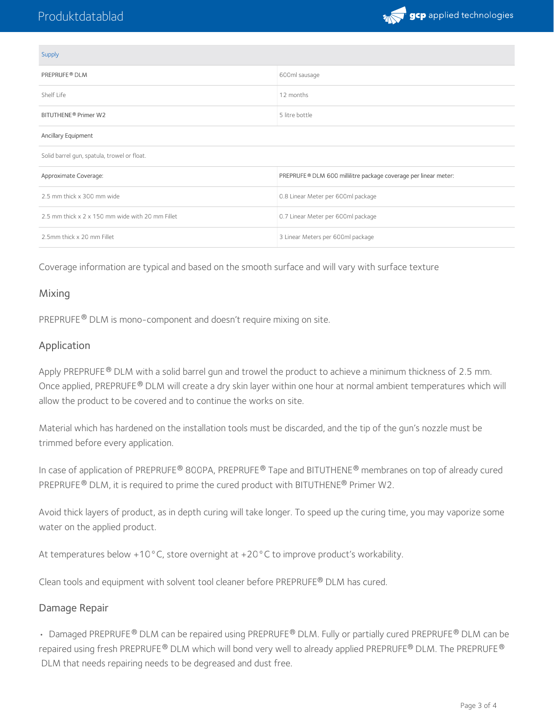

| Supply                                           |                                                                 |
|--------------------------------------------------|-----------------------------------------------------------------|
| PREPRUFE <sup>®</sup> DLM                        | 600ml sausage                                                   |
| Shelf Life                                       | 12 months                                                       |
| BITUTHENE <sup>®</sup> Primer W2                 | 5 litre bottle                                                  |
| Ancillary Equipment                              |                                                                 |
| Solid barrel gun, spatula, trowel or float.      |                                                                 |
| Approximate Coverage:                            | PREPRUFE® DLM 600 millilitre package coverage per linear meter: |
| 2.5 mm thick x 300 mm wide                       | 0.8 Linear Meter per 600ml package                              |
| 2.5 mm thick x 2 x 150 mm wide with 20 mm Fillet | 0.7 Linear Meter per 600ml package                              |
| 2.5mm thick x 20 mm Fillet                       | 3 Linear Meters per 600ml package                               |
|                                                  |                                                                 |

Coverage information are typical and based on the smooth surface and will vary with surface texture

### Mixing

PREPRUFE® DLM is mono-component and doesn't require mixing on site.

#### Application

Apply PREPRUFE $^\circledR$  DLM with a solid barrel gun and trowel the product to achieve a minimum thickness of 2.5 mm. Once applied, PREPRUFE® DLM will create a dry skin layer within one hour at normal ambient temperatures which will allow the product to be covered and to continue the works on site.

Material which has hardened on the installation tools must be discarded, and the tip of the gun's nozzle must be trimmed before every application.

In case of application of PREPRUFE® 800PA, PREPRUFE® Tape and BITUTHENE® membranes on top of already cured PREPRUFE  $^\circledR$  DLM, it is required to prime the cured product with BITUTHENE  $^\circledR$  Primer W2.

Avoid thick layers of product, as in depth curing will take longer. To speed up the curing time, you may vaporize some water on the applied product.

At temperatures below +10°C, store overnight at +20°C to improve product's workability.

Clean tools and equipment with solvent tool cleaner before PREPRUFE® DLM has cured.

#### Damage Repair

• Damaged PREPRUFE® DLM can be repaired using PREPRUFE® DLM. Fully or partially cured PREPRUFE® DLM can be repaired using fresh PREPRUFE ® DLM which will bond very well to already applied PREPRUFE® DLM. The PREPRUFE ® DLM that needs repairing needs to be degreased and dust free.